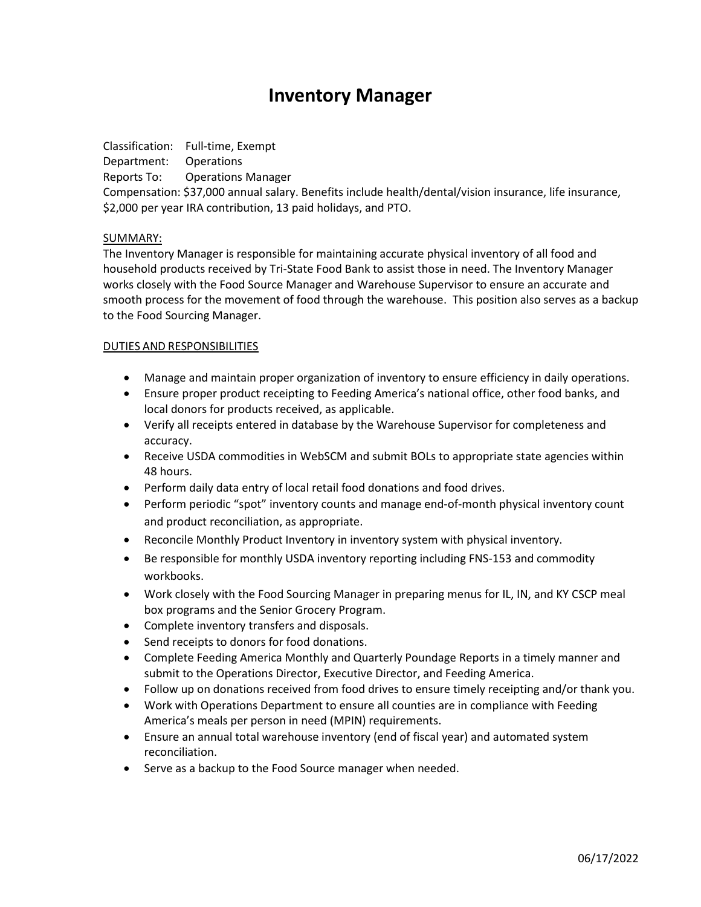# **Inventory Manager**

Classification: Full-time, Exempt Department: Operations Reports To: Operations Manager Compensation: \$37,000 annual salary. Benefits include health/dental/vision insurance, life insurance, \$2,000 per year IRA contribution, 13 paid holidays, and PTO.

### SUMMARY:

The Inventory Manager is responsible for maintaining accurate physical inventory of all food and household products received by Tri-State Food Bank to assist those in need. The Inventory Manager works closely with the Food Source Manager and Warehouse Supervisor to ensure an accurate and smooth process for the movement of food through the warehouse. This position also serves as a backup to the Food Sourcing Manager.

### DUTIES AND RESPONSIBILITIES

- Manage and maintain proper organization of inventory to ensure efficiency in daily operations.
- Ensure proper product receipting to Feeding America's national office, other food banks, and local donors for products received, as applicable.
- Verify all receipts entered in database by the Warehouse Supervisor for completeness and accuracy.
- Receive USDA commodities in WebSCM and submit BOLs to appropriate state agencies within 48 hours.
- Perform daily data entry of local retail food donations and food drives.
- Perform periodic "spot" inventory counts and manage end-of-month physical inventory count and product reconciliation, as appropriate.
- Reconcile Monthly Product Inventory in inventory system with physical inventory.
- Be responsible for monthly USDA inventory reporting including FNS-153 and commodity workbooks.
- Work closely with the Food Sourcing Manager in preparing menus for IL, IN, and KY CSCP meal box programs and the Senior Grocery Program.
- Complete inventory transfers and disposals.
- Send receipts to donors for food donations.
- Complete Feeding America Monthly and Quarterly Poundage Reports in a timely manner and submit to the Operations Director, Executive Director, and Feeding America.
- Follow up on donations received from food drives to ensure timely receipting and/or thank you.
- Work with Operations Department to ensure all counties are in compliance with Feeding America's meals per person in need (MPIN) requirements.
- Ensure an annual total warehouse inventory (end of fiscal year) and automated system reconciliation.
- Serve as a backup to the Food Source manager when needed.